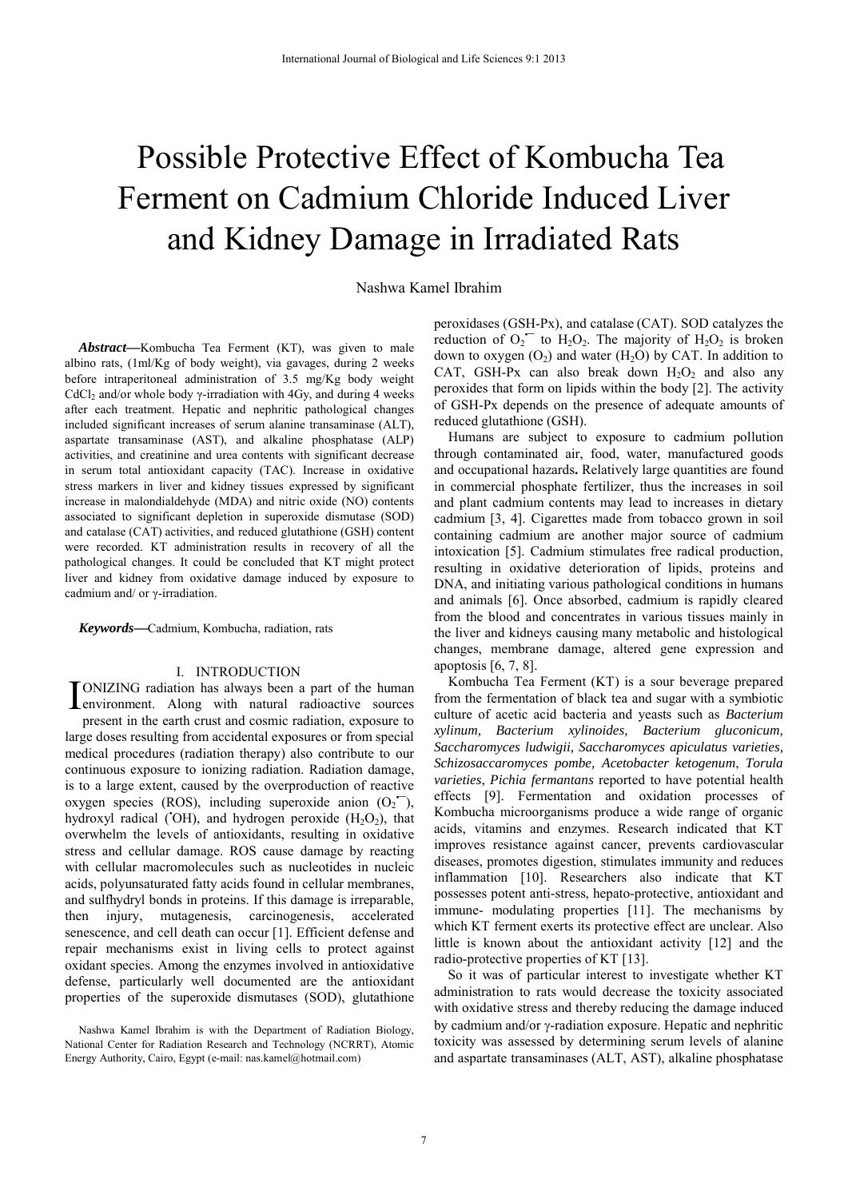# Possible Protective Effect of Kombucha Tea Ferment on Cadmium Chloride Induced Liver and Kidney Damage in Irradiated Rats

Nashwa Kamel Ibrahim

*Abstract***—**Kombucha Tea Ferment (KT), was given to male albino rats, (1ml/Kg of body weight), via gavages, during 2 weeks before intraperitoneal administration of 3.5 mg/Kg body weight CdCl<sub>2</sub> and/or whole body  $\gamma$ -irradiation with 4Gy, and during 4 weeks after each treatment. Hepatic and nephritic pathological changes included significant increases of serum alanine transaminase (ALT), aspartate transaminase (AST), and alkaline phosphatase (ALP) activities, and creatinine and urea contents with significant decrease in serum total antioxidant capacity (TAC). Increase in oxidative stress markers in liver and kidney tissues expressed by significant increase in malondialdehyde (MDA) and nitric oxide (NO) contents associated to significant depletion in superoxide dismutase (SOD) and catalase (CAT) activities, and reduced glutathione (GSH) content were recorded. KT administration results in recovery of all the pathological changes. It could be concluded that KT might protect liver and kidney from oxidative damage induced by exposure to cadmium and/ or γ-irradiation.

*Keywords***—**Cadmium, Kombucha, radiation, rats

### I. INTRODUCTION

ONIZING radiation has always been a part of the human **IONIZING** radiation has always been a part of the human<br>
environment. Along with natural radioactive sources present in the earth crust and cosmic radiation, exposure to large doses resulting from accidental exposures or from special medical procedures (radiation therapy) also contribute to our continuous exposure to ionizing radiation. Radiation damage, is to a large extent, caused by the overproduction of reactive oxygen species (ROS), including superoxide anion  $(O_2^-)$ , hydroxyl radical ('OH), and hydrogen peroxide  $(H_2O_2)$ , that overwhelm the levels of antioxidants, resulting in oxidative stress and cellular damage. ROS cause damage by reacting with cellular macromolecules such as nucleotides in nucleic acids, polyunsaturated fatty acids found in cellular membranes, and sulfhydryl bonds in proteins. If this damage is irreparable, then injury, mutagenesis, carcinogenesis, accelerated senescence, and cell death can occur [1]. Efficient defense and repair mechanisms exist in living cells to protect against oxidant species. Among the enzymes involved in antioxidative defense, particularly well documented are the antioxidant properties of the superoxide dismutases (SOD), glutathione

peroxidases (GSH-Px), and catalase (CAT). SOD catalyzes the reduction of  $O_2$  to  $H_2O_2$ . The majority of  $H_2O_2$  is broken down to oxygen  $(O_2)$  and water  $(H_2O)$  by CAT. In addition to CAT, GSH-Px can also break down  $H_2O_2$  and also any peroxides that form on lipids within the body [2]. The activity of GSH-Px depends on the presence of adequate amounts of reduced glutathione (GSH).

Humans are subject to exposure to cadmium pollution through contaminated air, food, water, manufactured goods and occupational hazards**.** Relatively large quantities are found in commercial phosphate fertilizer, thus the increases in soil and plant cadmium contents may lead to increases in dietary cadmium [3, 4]. Cigarettes made from tobacco grown in soil containing cadmium are another major source of cadmium intoxication [5]. Cadmium stimulates free radical production, resulting in oxidative deterioration of lipids, proteins and DNA, and initiating various pathological conditions in humans and animals [6]. Once absorbed, cadmium is rapidly cleared from the blood and concentrates in various tissues mainly in the liver and kidneys causing many metabolic and histological changes, membrane damage, altered gene expression and apoptosis [6, 7, 8].

Kombucha Tea Ferment (KT) is a sour beverage prepared from the fermentation of black tea and sugar with a symbiotic culture of acetic acid bacteria and yeasts such as *Bacterium xylinum, Bacterium xylinoides, Bacterium gluconicum, Saccharomyces ludwigii, Saccharomyces apiculatus varieties, Schizosaccaromyces pombe, Acetobacter ketogenum*, *Torula varieties*, *Pichia fermantans* reported to have potential health effects [9]. Fermentation and oxidation processes of Kombucha microorganisms produce a wide range of organic acids, vitamins and enzymes. Research indicated that KT improves resistance against cancer, prevents cardiovascular diseases, promotes digestion, stimulates immunity and reduces inflammation [10]. Researchers also indicate that KT possesses potent anti-stress, hepato-protective, antioxidant and immune- modulating properties [11]. The mechanisms by which KT ferment exerts its protective effect are unclear. Also little is known about the antioxidant activity [12] and the radio-protective properties of KT [13].

So it was of particular interest to investigate whether KT administration to rats would decrease the toxicity associated with oxidative stress and thereby reducing the damage induced by cadmium and/or  $\gamma$ -radiation exposure. Hepatic and nephritic toxicity was assessed by determining serum levels of alanine and aspartate transaminases (ALT, AST), alkaline phosphatase

Nashwa Kamel Ibrahim is with the Department of Radiation Biology, National Center for Radiation Research and Technology (NCRRT), Atomic Energy Authority, Cairo, Egypt (e-mail: nas.kamel@hotmail.com)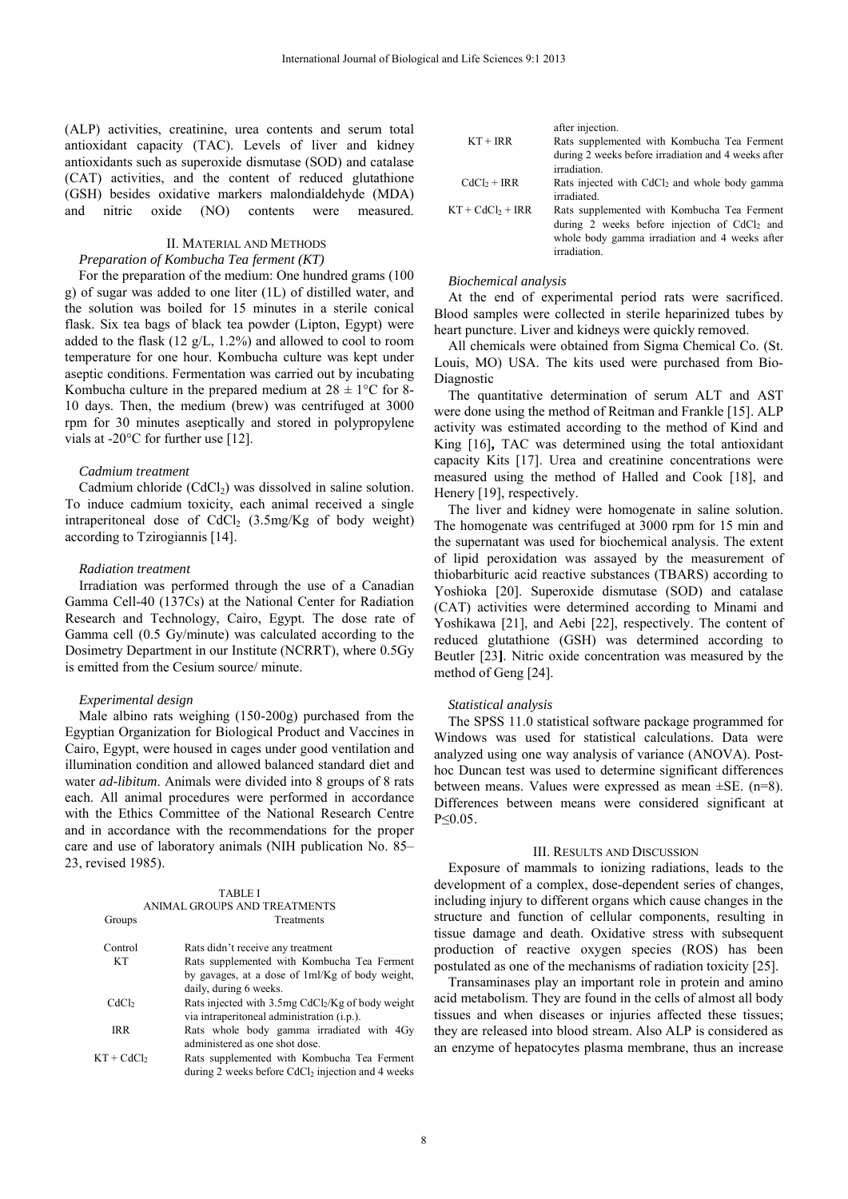(ALP) activities, creatinine, urea contents and serum total antioxidant capacity (TAC). Levels of liver and kidney antioxidants such as superoxide dismutase (SOD) and catalase (CAT) activities, and the content of reduced glutathione (GSH) besides oxidative markers malondialdehyde (MDA) and nitric oxide (NO) contents were measured.

## II. MATERIAL AND METHODS

# *Preparation of Kombucha Tea ferment (KT)*

For the preparation of the medium: One hundred grams (100 g) of sugar was added to one liter (1L) of distilled water, and the solution was boiled for 15 minutes in a sterile conical flask. Six tea bags of black tea powder (Lipton, Egypt) were added to the flask  $(12 \text{ g/L}, 1.2\%)$  and allowed to cool to room temperature for one hour. Kombucha culture was kept under aseptic conditions. Fermentation was carried out by incubating Kombucha culture in the prepared medium at  $28 \pm 1$ °C for 8-10 days. Then, the medium (brew) was centrifuged at 3000 rpm for 30 minutes aseptically and stored in polypropylene vials at -20°C for further use [12].

#### *Cadmium treatment*

Cadmium chloride  $(CdCl<sub>2</sub>)$  was dissolved in saline solution. To induce cadmium toxicity, each animal received a single intraperitoneal dose of  $CdCl<sub>2</sub>$  (3.5mg/Kg of body weight) according to Tzirogiannis [14].

#### *Radiation treatment*

Irradiation was performed through the use of a Canadian Gamma Cell-40 (137Cs) at the National Center for Radiation Research and Technology, Cairo, Egypt. The dose rate of Gamma cell (0.5 Gy/minute) was calculated according to the Dosimetry Department in our Institute (NCRRT), where 0.5Gy is emitted from the Cesium source/ minute.

#### *Experimental design*

Male albino rats weighing (150-200g) purchased from the Egyptian Organization for Biological Product and Vaccines in Cairo, Egypt, were housed in cages under good ventilation and illumination condition and allowed balanced standard diet and water *ad-libitum*. Animals were divided into 8 groups of 8 rats each. All animal procedures were performed in accordance with the Ethics Committee of the National Research Centre and in accordance with the recommendations for the proper care and use of laboratory animals (NIH publication No. 85– 23, revised 1985).

|                        | <b>TABLE I</b>                                                  |
|------------------------|-----------------------------------------------------------------|
|                        | ANIMAL GROUPS AND TREATMENTS                                    |
| Groups                 | Treatments                                                      |
| Control                | Rats didn't receive any treatment                               |
| KТ                     | Rats supplemented with Kombucha Tea Ferment                     |
|                        | by gavages, at a dose of 1ml/Kg of body weight,                 |
|                        | daily, during 6 weeks.                                          |
| CdCl <sub>2</sub>      | Rats injected with $3.5mg$ CdCl <sub>2</sub> /Kg of body weight |
|                        | via intraperitoneal administration (i.p.).                      |
| IRR                    | Rats whole body gamma irradiated with 4Gy                       |
|                        | administered as one shot dose.                                  |
| KT + CdCl <sub>2</sub> | Rats supplemented with Kombucha Tea Ferment                     |
|                        | during 2 weeks before $CdCl2$ injection and 4 weeks             |

|                     | after injection.                                                    |
|---------------------|---------------------------------------------------------------------|
| $KT + IRR$          | Rats supplemented with Kombucha Tea Ferment                         |
|                     | during 2 weeks before irradiation and 4 weeks after<br>irradiation. |
|                     |                                                                     |
| $CdC12 + IRR$       | Rats injected with CdCl <sub>2</sub> and whole body gamma           |
|                     | irradiated.                                                         |
| $KT + CdC1_2 + IRR$ | Rats supplemented with Kombucha Tea Ferment                         |
|                     | during 2 weeks before injection of CdCl <sub>2</sub> and            |
|                     | whole body gamma irradiation and 4 weeks after                      |
|                     | irradiation.                                                        |

#### *Biochemical analysis*

At the end of experimental period rats were sacrificed. Blood samples were collected in sterile heparinized tubes by heart puncture. Liver and kidneys were quickly removed.

All chemicals were obtained from Sigma Chemical Co. (St. Louis, MO) USA. The kits used were purchased from Bio-Diagnostic

The quantitative determination of serum ALT and AST were done using the method of Reitman and Frankle [15]. ALP activity was estimated according to the method of Kind and King [16]**,** TAC was determined using the total antioxidant capacity Kits [17]. Urea and creatinine concentrations were measured using the method of Halled and Cook [18], and Henery [19], respectively.

The liver and kidney were homogenate in saline solution. The homogenate was centrifuged at 3000 rpm for 15 min and the supernatant was used for biochemical analysis. The extent of lipid peroxidation was assayed by the measurement of thiobarbituric acid reactive substances (TBARS) according to Yoshioka [20]. Superoxide dismutase (SOD) and catalase (CAT) activities were determined according to Minami and Yoshikawa [21], and Aebi [22], respectively. The content of reduced glutathione (GSH) was determined according to Beutler [23**]**. Nitric oxide concentration was measured by the method of Geng [24].

## *Statistical analysis*

The SPSS 11.0 statistical software package programmed for Windows was used for statistical calculations. Data were analyzed using one way analysis of variance (ANOVA). Posthoc Duncan test was used to determine significant differences between means. Values were expressed as mean ±SE. (n=8). Differences between means were considered significant at P≤0.05.

#### III. RESULTS AND DISCUSSION

Exposure of mammals to ionizing radiations, leads to the development of a complex, dose-dependent series of changes, including injury to different organs which cause changes in the structure and function of cellular components, resulting in tissue damage and death. Oxidative stress with subsequent production of reactive oxygen species (ROS) has been postulated as one of the mechanisms of radiation toxicity [25].

Transaminases play an important role in protein and amino acid metabolism. They are found in the cells of almost all body tissues and when diseases or injuries affected these tissues; they are released into blood stream. Also ALP is considered as an enzyme of hepatocytes plasma membrane, thus an increase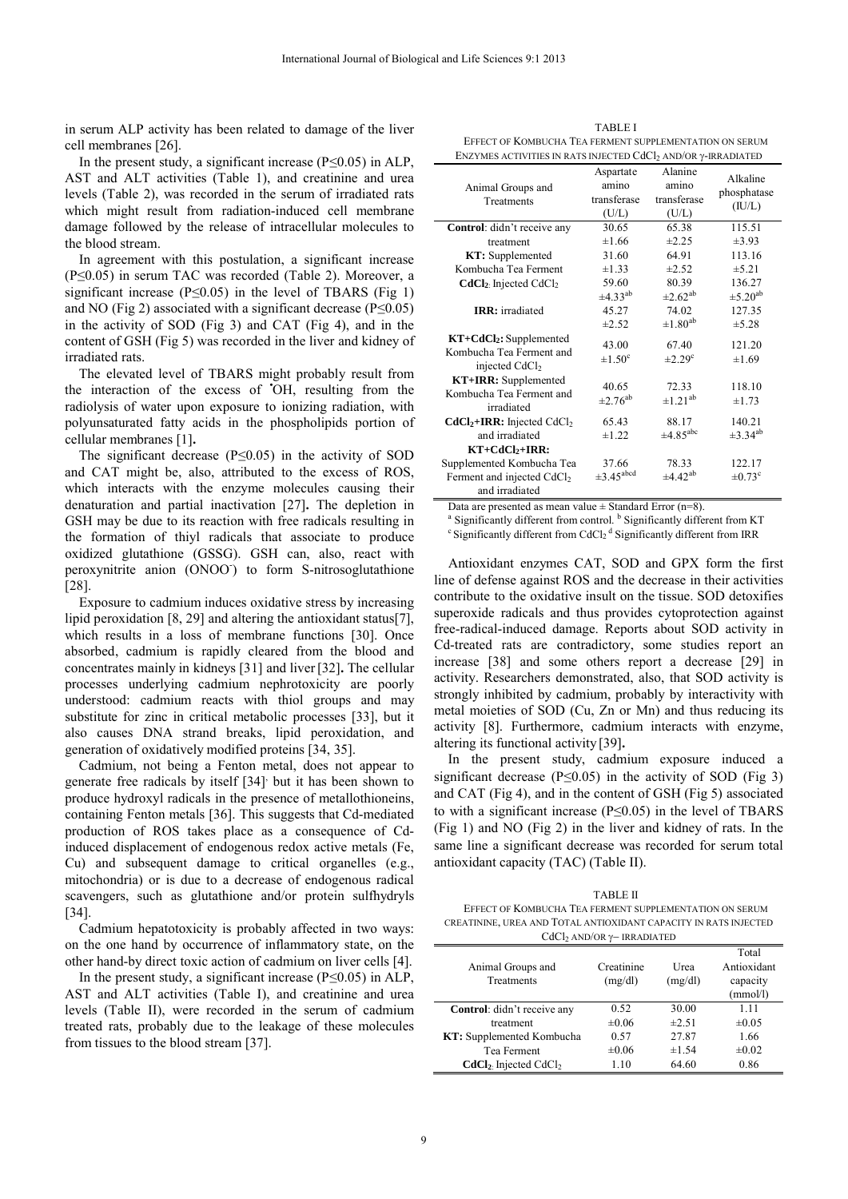in serum ALP activity has been related to damage of the liver cell membranes [26].

In the present study, a significant increase ( $P \le 0.05$ ) in ALP, AST and ALT activities (Table 1), and creatinine and urea levels (Table 2), was recorded in the serum of irradiated rats which might result from radiation-induced cell membrane damage followed by the release of intracellular molecules to the blood stream.

In agreement with this postulation, a significant increase (P≤0.05) in serum TAC was recorded (Table 2). Moreover, a significant increase ( $P \le 0.05$ ) in the level of TBARS (Fig 1) and NO (Fig 2) associated with a significant decrease ( $P \le 0.05$ ) in the activity of SOD (Fig 3) and CAT (Fig 4), and in the content of GSH (Fig 5) was recorded in the liver and kidney of irradiated rats.

The elevated level of TBARS might probably result from the interaction of the excess of **•** OH, resulting from the radiolysis of water upon exposure to ionizing radiation, with polyunsaturated fatty acids in the phospholipids portion of cellular membranes [1]**.** 

The significant decrease  $(P \le 0.05)$  in the activity of SOD and CAT might be, also, attributed to the excess of ROS, which interacts with the enzyme molecules causing their denaturation and partial inactivation [27]**.** The depletion in GSH may be due to its reaction with free radicals resulting in the formation of thiyl radicals that associate to produce oxidized glutathione (GSSG). GSH can, also, react with peroxynitrite anion (ONOO<sup>-</sup>) to form S-nitrosoglutathione [28].

Exposure to cadmium induces oxidative stress by increasing lipid peroxidation [8, 29] and altering the antioxidant status[7], which results in a loss of membrane functions [30]. Once absorbed, cadmium is rapidly cleared from the blood and concentrates mainly in kidneys [31] and liver [32]**.** The cellular processes underlying cadmium nephrotoxicity are poorly understood: cadmium reacts with thiol groups and may substitute for zinc in critical metabolic processes [33], but it also causes DNA strand breaks, lipid peroxidation, and generation of oxidatively modified proteins [34, 35].

Cadmium, not being a Fenton metal, does not appear to generate free radicals by itself [34] but it has been shown to produce hydroxyl radicals in the presence of metallothioneins, containing Fenton metals [36]. This suggests that Cd-mediated production of ROS takes place as a consequence of Cdinduced displacement of endogenous redox active metals (Fe, Cu) and subsequent damage to critical organelles (e.g., mitochondria) or is due to a decrease of endogenous radical scavengers, such as glutathione and/or protein sulfhydryls [34].

Cadmium hepatotoxicity is probably affected in two ways: on the one hand by occurrence of inflammatory state, on the other hand-by direct toxic action of cadmium on liver cells [4].

In the present study, a significant increase ( $P \le 0.05$ ) in ALP, AST and ALT activities (Table I), and creatinine and urea levels (Table II), were recorded in the serum of cadmium treated rats, probably due to the leakage of these molecules from tissues to the blood stream [37].

TABLE I EFFECT OF KOMBUCHA TEA FERMENT SUPPLEMENTATION ON SERUM ENZYMES ACTIVITIES IN RATS INJECTED CdCl<sub>2</sub> AND/OR  $\gamma$ -IRRADIATED

|                                          | Aspartate                         | Alanine                           | Alkaline                 |
|------------------------------------------|-----------------------------------|-----------------------------------|--------------------------|
| Animal Groups and                        | amino                             | amino                             | phosphatase              |
| Treatments                               | transferase                       | transferase                       |                          |
|                                          | (U/L)                             | (U/L)                             | (IU/L)                   |
| Control: didn't receive any              | 30.65                             | 65.38                             | 115.51                   |
| treatment                                | ±1.66                             | $\pm 2.25$                        | $\pm 3.93$               |
| KT: Supplemented                         | 31.60                             | 64.91                             | 113.16                   |
| Kombucha Tea Ferment                     | $\pm 1.33$                        | ±2.52                             | ±5.21                    |
| $CdCl2$ : Injected CdCl <sub>2</sub>     | 59.60                             | 80.39                             | 136.27                   |
|                                          | $\pm 4.33^{ab}$                   | $\pm 2.62^{ab}$                   | $\pm$ 5.20 <sup>ab</sup> |
| <b>IRR</b> : irradiated                  | 45.27                             | 74.02                             | 127.35                   |
|                                          | $\pm 2.52$                        | $\pm1.80^{\text{ab}}$             | ±5.28                    |
| $KT + CdCl2: Supplemented$               | 43.00                             | 67.40                             | 121.20                   |
| Kombucha Tea Ferment and                 | $\pm 1.50^{\circ}$                | $\pm 2.29^{\circ}$                | $\pm 1.69$               |
| injected CdCl <sub>2</sub>               |                                   |                                   |                          |
| <b>KT+IRR:</b> Supplemented              |                                   |                                   | 118.10                   |
| Kombucha Tea Ferment and                 | 40.65<br>$\pm 2.76$ <sup>ab</sup> | 72.33<br>$\pm$ 1.21 <sup>ab</sup> |                          |
| irradiated                               |                                   |                                   | ±1.73                    |
| $CdCl2+IRR$ : Injected CdCl <sub>2</sub> | 65.43                             | 88.17                             | 140.21                   |
| and irradiated                           | $\pm 1.22$                        | $\pm 4.85$ <sup>abc</sup>         | $\pm 3.34^{ab}$          |
| $KT+CdCl2+IRR:$                          |                                   |                                   |                          |
| Supplemented Kombucha Tea                | 37.66                             | 78.33                             | 122.17                   |
| Ferment and injected CdCl <sub>2</sub>   | $\pm 3.45$ <sup>abcd</sup>        | $\pm 4.42$ <sup>ab</sup>          | $\pm 0.73$ <sup>c</sup>  |
| and irradiated                           |                                   |                                   |                          |

Data are presented as mean value  $\pm$  Standard Error (n=8).<br><sup>a</sup> Significantly different from control.<sup>b</sup> Significantly different from KT <sup>a</sup> Significantly different from control. <sup>b</sup> Significantly different from KT c Significantly different from IRR

Antioxidant enzymes CAT, SOD and GPX form the first line of defense against ROS and the decrease in their activities contribute to the oxidative insult on the tissue. SOD detoxifies superoxide radicals and thus provides cytoprotection against free-radical-induced damage. Reports about SOD activity in Cd-treated rats are contradictory, some studies report an increase [38] and some others report a decrease [29] in activity. Researchers demonstrated, also, that SOD activity is strongly inhibited by cadmium, probably by interactivity with metal moieties of SOD (Cu, Zn or Mn) and thus reducing its activity [8]. Furthermore, cadmium interacts with enzyme, altering its functional activity [39]**.**

In the present study, cadmium exposure induced a significant decrease ( $P \le 0.05$ ) in the activity of SOD (Fig 3) and CAT (Fig 4), and in the content of GSH (Fig 5) associated to with a significant increase ( $P \le 0.05$ ) in the level of TBARS (Fig 1) and NO (Fig 2) in the liver and kidney of rats. In the same line a significant decrease was recorded for serum total antioxidant capacity (TAC) (Table II).

| TABLE II                                                         |
|------------------------------------------------------------------|
| EFFECT OF KOMBUCHA TEA FERMENT SUPPLEMENTATION ON SERUM          |
| CREATININE, UREA AND TOTAL ANTIOXIDANT CAPACITY IN RATS INJECTED |
| $CdC1$ , AND/OR $\gamma$ – IRRADIATED                            |

| Animal Groups and<br>Treatments    | Creatinine<br>(mg/dl) | Urea<br>(mg/dl) | Total<br>Antioxidant<br>capacity<br>(mmol/l) |
|------------------------------------|-----------------------|-----------------|----------------------------------------------|
| Control: didn't receive any        | 0.52                  | 30.00           | 1.11                                         |
| treatment                          | $\pm 0.06$            | ±2.51           | $\pm 0.05$                                   |
| <b>KT:</b> Supplemented Kombucha   | 0.57                  | 27.87           | 1.66                                         |
| Tea Ferment                        | $\pm 0.06$            | ±1.54           | $\pm 0.02$                                   |
| $CdCl2$ Injected CdCl <sub>2</sub> | 1.10                  | 64.60           | 0.86                                         |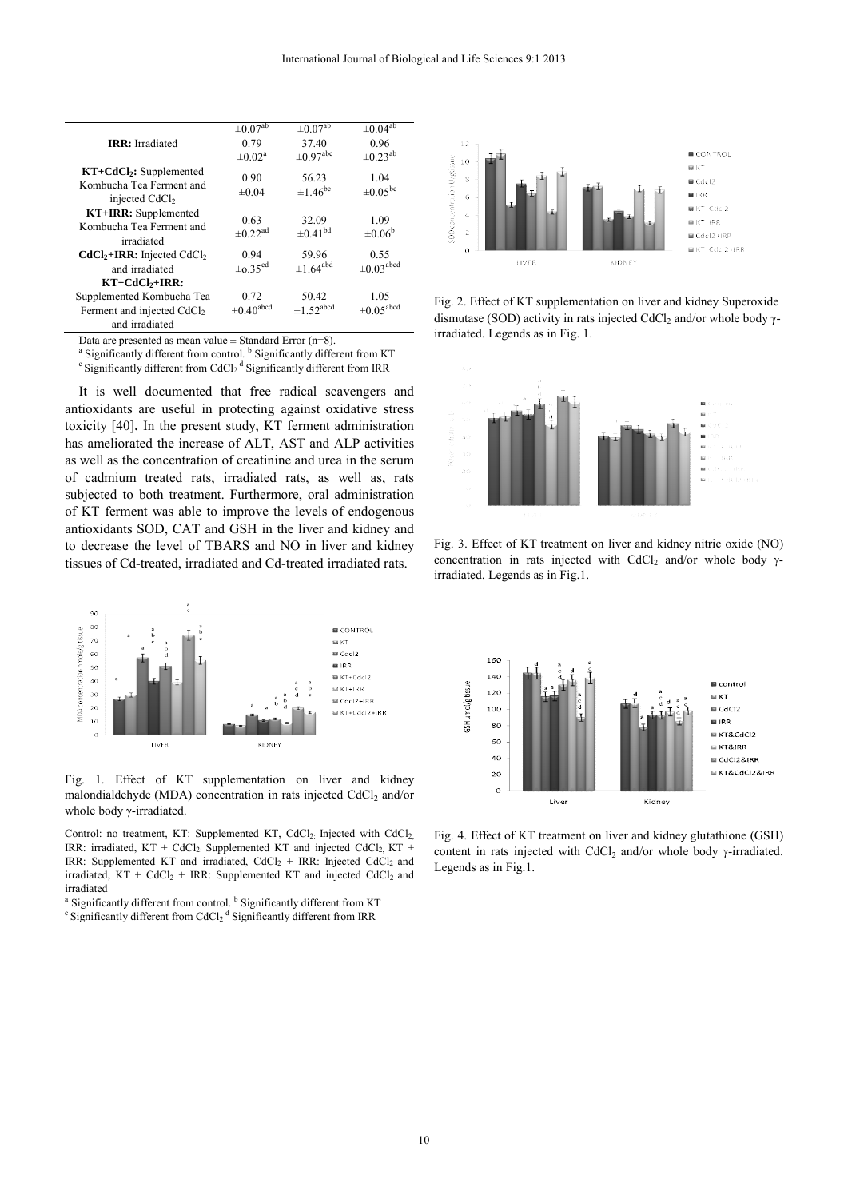|                                                                                       | $\pm 0.07$ <sup>ab</sup>         | $\pm 0.07$ <sup>ab</sup>     | $\pm 0.04$ <sup>ab</sup>    |
|---------------------------------------------------------------------------------------|----------------------------------|------------------------------|-----------------------------|
| <b>IRR</b> : Irradiated                                                               | 0.79                             | 37.40                        | 0.96                        |
|                                                                                       | $\pm 0.02^{\text{a}}$            | $\pm 0.97$ <sup>abc</sup>    | $\pm 0.23^{ab}$             |
| $KT + CdCl2$ : Supplemented<br>Kombucha Tea Ferment and<br>injected CdCl <sub>2</sub> | 0.90<br>$\pm 0.04$               | 56.23<br>$\pm 1.46^{\rm bc}$ | 1.04<br>$\pm 0.05^{\rm bc}$ |
| <b>KT+IRR:</b> Supplemented<br>Kombucha Tea Ferment and<br>irradiated                 | 0.63<br>$\pm$ 0.22 <sup>ad</sup> | 32.09<br>$\pm 0.41^{bd}$     | 1.09<br>$\pm 0.06^{\circ}$  |
| $CdCl2+IRR$ : Injected CdCl <sub>2</sub>                                              | 0.94                             | 59.96                        | 0.55                        |
| and irradiated                                                                        | $\pm 0.35^{\text{cd}}$           | $\pm 1.64$ <sup>abd</sup>    | $\pm 0.03$ <sup>abcd</sup>  |
| $KT+CdCl2+IRR:$                                                                       |                                  |                              |                             |
| Supplemented Kombucha Tea                                                             | 0.72                             | 50.42                        | 1.05                        |
| Ferment and injected CdCl <sub>2</sub>                                                | $\pm 0.40$ <sup>abcd</sup>       | $\pm 1.52$ <sup>abcd</sup>   | $\pm 0.05^{\text{abcd}}$    |
| and irradiated                                                                        |                                  |                              |                             |

Data are presented as mean value  $\pm$  Standard Error (n=8).

<sup>a</sup> Significantly different from control. <sup>b</sup> Significantly different from KT c Significantly different from IRR

It is well documented that free radical scavengers and antioxidants are useful in protecting against oxidative stress toxicity [40]**.** In the present study, KT ferment administration has ameliorated the increase of ALT, AST and ALP activities as well as the concentration of creatinine and urea in the serum of cadmium treated rats, irradiated rats, as well as, rats subjected to both treatment. Furthermore, oral administration of KT ferment was able to improve the levels of endogenous antioxidants SOD, CAT and GSH in the liver and kidney and to decrease the level of TBARS and NO in liver and kidney tissues of Cd-treated, irradiated and Cd-treated irradiated rats.



Fig. 1. Effect of KT supplementation on liver and kidney malondialdehyde (MDA) concentration in rats injected  $CdCl<sub>2</sub>$  and/or whole body  $\gamma$ -irradiated.

Control: no treatment, KT: Supplemented KT, CdCl<sub>2:</sub> Injected with CdCl<sub>2</sub> IRR: irradiated,  $KT + CdCl<sub>2</sub>$ . Supplemented KT and injected CdCl<sub>2</sub>, KT + IRR: Supplemented KT and irradiated, CdCl<sub>2</sub> + IRR: Injected CdCl<sub>2</sub> and irradiated,  $KT + CdCl<sub>2</sub> + IRR$ : Supplemented KT and injected CdCl<sub>2</sub> and irradiated<br>a Significantly different from control. <sup>b</sup> Significantly different from KT

<sup>a</sup> Significantly different from control. <sup>b</sup> Significantly different from KT c Significantly different from IRR



Fig. 2. Effect of KT supplementation on liver and kidney Superoxide dismutase (SOD) activity in rats injected CdCl<sub>2</sub> and/or whole body  $\gamma$ irradiated. Legends as in Fig. 1.







Fig. 4. Effect of KT treatment on liver and kidney glutathione (GSH) content in rats injected with CdCl<sub>2</sub> and/or whole body  $\gamma$ -irradiated. Legends as in Fig.1.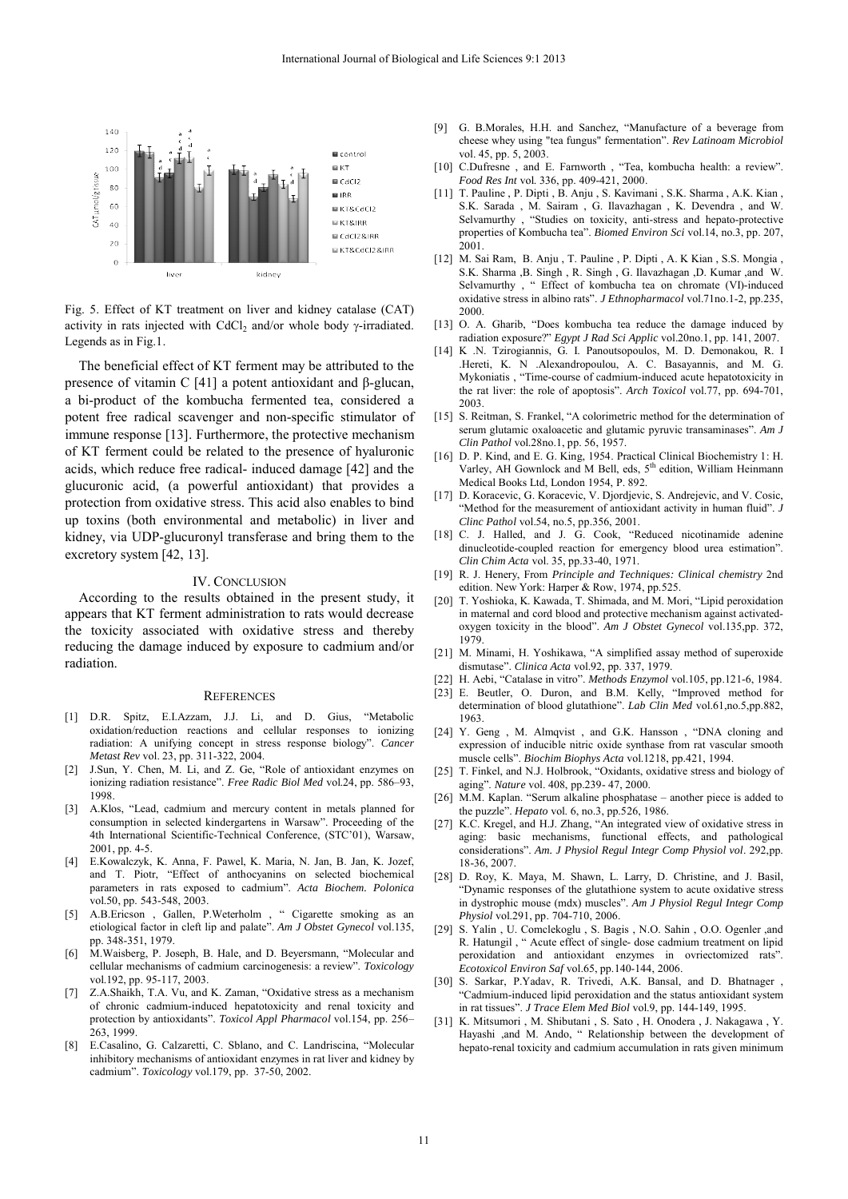

Fig. 5. Effect of KT treatment on liver and kidney catalase (CAT) activity in rats injected with CdCl<sub>2</sub> and/or whole body  $\gamma$ -irradiated. Legends as in Fig.1.

The beneficial effect of KT ferment may be attributed to the presence of vitamin C [41] a potent antioxidant and β-glucan, a bi-product of the kombucha fermented tea, considered a potent free radical scavenger and non-specific stimulator of immune response [13]. Furthermore, the protective mechanism of KT ferment could be related to the presence of hyaluronic acids, which reduce free radical- induced damage [42] and the glucuronic acid, (a powerful antioxidant) that provides a protection from oxidative stress. This acid also enables to bind up toxins (both environmental and metabolic) in liver and kidney, via UDP-glucuronyl transferase and bring them to the excretory system [42, 13].

### IV. CONCLUSION

According to the results obtained in the present study, it appears that KT ferment administration to rats would decrease the toxicity associated with oxidative stress and thereby reducing the damage induced by exposure to cadmium and/or radiation.

#### **REFERENCES**

- [1] D.R. Spitz, E.I.Azzam, J.J. Li, and D. Gius, "Metabolic oxidation/reduction reactions and cellular responses to ionizing radiation: A unifying concept in stress response biology". *Cancer Metast Rev* vol. 23, pp. 311-322, 2004.
- [2] J.Sun, Y. Chen, M. Li, and Z. Ge, "Role of antioxidant enzymes on ionizing radiation resistance". *Free Radic Biol Med* vol.24, pp. 586–93, 1998.
- [3] A.Klos, "Lead, cadmium and mercury content in metals planned for consumption in selected kindergartens in Warsaw". Proceeding of the 4th International Scientific-Technical Conference, (STC'01), Warsaw, 2001, pp. 4-5.
- [4] E.Kowalczyk, K. Anna, F. Pawel, K. Maria, N. Jan, B. Jan, K. Jozef, and T. Piotr, "Effect of anthocyanins on selected biochemical parameters in rats exposed to cadmium". *Acta Biochem. Polonica* vol.50, pp. 543-548, 2003.
- [5] A.B.Ericson , Gallen, P.Weterholm , " Cigarette smoking as an etiological factor in cleft lip and palate". *Am J Obstet Gynecol* vol.135, pp. 348-351, 1979.
- [6] M.Waisberg, P. Joseph, B. Hale, and D. Beyersmann, "Molecular and cellular mechanisms of cadmium carcinogenesis: a review". *Toxicology* vol.192, pp. 95-117, 2003.
- [7] Z.A.Shaikh, T.A. Vu, and K. Zaman, "Oxidative stress as a mechanism of chronic cadmium-induced hepatotoxicity and renal toxicity and protection by antioxidants". *Toxicol Appl Pharmacol* vol.154, pp. 256– 263, 1999.
- [8] E.Casalino, G. Calzaretti, C. Sblano, and C. Landriscina, "Molecular inhibitory mechanisms of antioxidant enzymes in rat liver and kidney by cadmium". *Toxicology* vol.179, pp. 37-50, 2002.
- [9] G. B.Morales, H.H. and Sanchez, "Manufacture of a beverage from cheese whey using "tea fungus" fermentation". *Rev Latinoam Microbiol*  vol. 45, pp. 5, 2003.
- [10] C.Dufresne , and E. Farnworth , "Tea, kombucha health: a review". *Food Res Int* vol. 336, pp. 409-421, 2000.
- [11] T. Pauline , P. Dipti , B. Anju , S. Kavimani , S.K. Sharma , A.K. Kian , S.K. Sarada , M. Sairam , G. Ilavazhagan , K. Devendra , and W. Selvamurthy , "Studies on toxicity, anti-stress and hepato-protective properties of Kombucha tea". *Biomed Environ Sci* vol.14, no.3, pp. 207, 2001.
- [12] M. Sai Ram, B. Anju , T. Pauline , P. Dipti , A. K Kian , S.S. Mongia , S.K. Sharma ,B. Singh , R. Singh , G. Ilavazhagan ,D. Kumar ,and W. Selvamurthy, " Effect of kombucha tea on chromate (VI)-induced oxidative stress in albino rats". *J Ethnopharmacol* vol.71no.1-2, pp.235, 2000.
- [13] O. A. Gharib, "Does kombucha tea reduce the damage induced by radiation exposure?" *Egypt J Rad Sci Applic* vol.20no.1, pp. 141, 2007.
- [14] K .N. Tzirogiannis, G. I. Panoutsopoulos, M. D. Demonakou, R. I .Hereti, K. N .Alexandropoulou, A. C. Basayannis, and M. G. Mykoniatis , "Time-course of cadmium-induced acute hepatotoxicity in the rat liver: the role of apoptosis". *Arch Toxicol* vol.77, pp. 694-701, 2003.
- [15] S. Reitman, S. Frankel, "A colorimetric method for the determination of serum glutamic oxaloacetic and glutamic pyruvic transaminases". *Am J Clin Pathol* vol.28no.1, pp. 56, 1957.
- [16] D. P. Kind, and E. G. King, 1954. Practical Clinical Biochemistry 1: H. Varley, AH Gownlock and M Bell, eds, 5<sup>th</sup> edition, William Heinmann Medical Books Ltd, London 1954, P. 892.
- [17] D. Koracevic, G. Koracevic, V. Djordjevic, S. Andrejevic, and V. Cosic, "Method for the measurement of antioxidant activity in human fluid". *J Clinc Pathol* vol.54, no.5, pp.356, 2001.
- [18] C. J. Halled, and J. G. Cook, "Reduced nicotinamide adenine dinucleotide-coupled reaction for emergency blood urea estimation". *Clin Chim Acta* vol. 35, pp.33-40, 1971.
- [19] R. J. Henery, From *Principle and Techniques: Clinical chemistry* 2nd edition. New York: Harper & Row, 1974, pp.525.
- [20] T. Yoshioka, K. Kawada, T. Shimada, and M. Mori, "Lipid peroxidation in maternal and cord blood and protective mechanism against activatedoxygen toxicity in the blood". *Am J Obstet Gynecol* vol.135,pp. 372, 1979.
- [21] M. Minami, H. Yoshikawa, "A simplified assay method of superoxide dismutase". *Clinica Acta* vol.92, pp. 337, 1979.
- [22] H. Aebi, "Catalase in vitro". *Methods Enzymol* vol.105, pp.121-6, 1984.
- [23] E. Beutler, O. Duron, and B.M. Kelly, "Improved method for determination of blood glutathione". *Lab Clin Med* vol.61,no.5,pp.882, 1963.
- [24] Y. Geng, M. Almqvist, and G.K. Hansson, "DNA cloning and expression of inducible nitric oxide synthase from rat vascular smooth muscle cells". *Biochim Biophys Acta* vol.1218, pp.421, 1994.
- [25] T. Finkel, and N.J. Holbrook, "Oxidants, oxidative stress and biology of aging". *Nature* vol. 408, pp.239- 47, 2000.
- [26] M.M. Kaplan. "Serum alkaline phosphatase another piece is added to the puzzle". *Hepato* vol. 6, no.3, pp.526, 1986.
- [27] K.C. Kregel, and H.J. Zhang, "An integrated view of oxidative stress in aging: basic mechanisms, functional effects, and pathological considerations". *Am. J Physiol Regul Integr Comp Physiol vol*. 292,pp. 18-36, 2007.
- [28] D. Roy, K. Maya, M. Shawn, L. Larry, D. Christine, and J. Basil, "Dynamic responses of the glutathione system to acute oxidative stress in dystrophic mouse (mdx) muscles". *Am J Physiol Regul Integr Comp Physiol* vol.291, pp. 704-710, 2006.
- [29] S. Yalin , U. Comclekoglu , S. Bagis , N.O. Sahin , O.O. Ogenler ,and R. Hatungil , " Acute effect of single- dose cadmium treatment on lipid peroxidation and antioxidant enzymes in ovriectomized rats". *Ecotoxicol Environ Saf* vol.65, pp.140-144, 2006.
- [30] S. Sarkar, P.Yadav, R. Trivedi, A.K. Bansal, and D. Bhatnager , "Cadmium-induced lipid peroxidation and the status antioxidant system in rat tissues". *J Trace Elem Med Biol* vol.9, pp. 144-149, 1995.
- [31] K. Mitsumori , M. Shibutani , S. Sato , H. Onodera , J. Nakagawa , Y. Hayashi ,and M. Ando, " Relationship between the development of hepato-renal toxicity and cadmium accumulation in rats given minimum